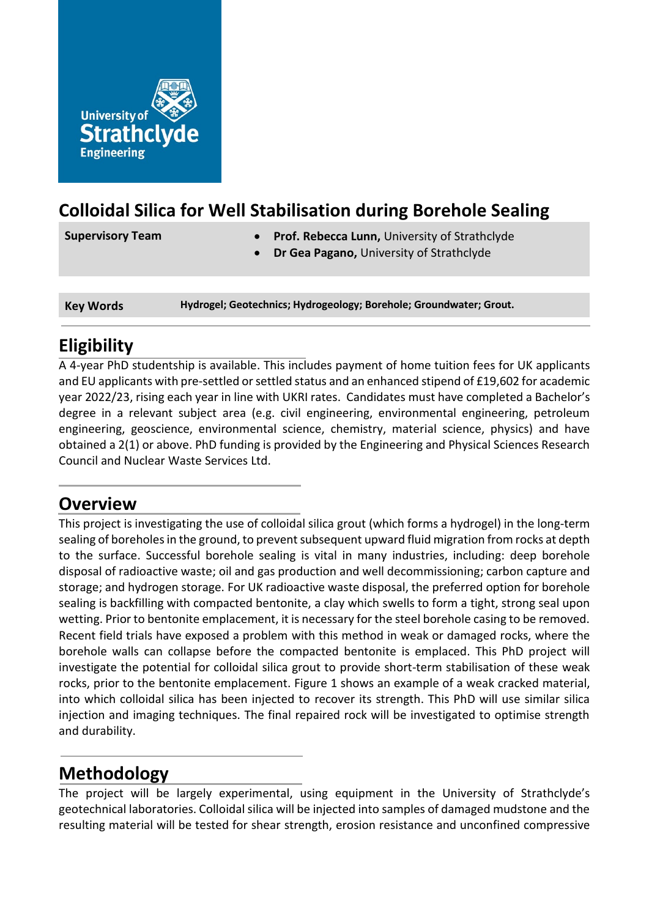

## **Colloidal Silica for Well Stabilisation during Borehole Sealing**

- **Supervisory Team Prof. Rebecca Lunn,** University of Strathclyde
	- **Dr Gea Pagano,** University of Strathclyde

**Key Words Hydrogel; Geotechnics; Hydrogeology; Borehole; Groundwater; Grout.**

# **Eligibility**

A 4-year PhD studentship is available. This includes payment of home tuition fees for UK applicants and EU applicants with pre-settled or settled status and an enhanced stipend of £19,602 for academic year 2022/23, rising each year in line with UKRI rates. Candidates must have completed a Bachelor's degree in a relevant subject area (e.g. civil engineering, environmental engineering, petroleum engineering, geoscience, environmental science, chemistry, material science, physics) and have obtained a 2(1) or above. PhD funding is provided by the Engineering and Physical Sciences Research Council and Nuclear Waste Services Ltd.

### **Overview**

This project is investigating the use of colloidal silica grout (which forms a hydrogel) in the long-term sealing of boreholes in the ground, to prevent subsequent upward fluid migration from rocks at depth to the surface. Successful borehole sealing is vital in many industries, including: deep borehole disposal of radioactive waste; oil and gas production and well decommissioning; carbon capture and storage; and hydrogen storage. For UK radioactive waste disposal, the preferred option for borehole sealing is backfilling with compacted bentonite, a clay which swells to form a tight, strong seal upon wetting. Prior to bentonite emplacement, it is necessary for the steel borehole casing to be removed. Recent field trials have exposed a problem with this method in weak or damaged rocks, where the borehole walls can collapse before the compacted bentonite is emplaced. This PhD project will investigate the potential for colloidal silica grout to provide short-term stabilisation of these weak rocks, prior to the bentonite emplacement. Figure 1 shows an example of a weak cracked material, into which colloidal silica has been injected to recover its strength. This PhD will use similar silica injection and imaging techniques. The final repaired rock will be investigated to optimise strength and durability.

## **Methodology**

The project will be largely experimental, using equipment in the University of Strathclyde's geotechnical laboratories. Colloidal silica will be injected into samples of damaged mudstone and the resulting material will be tested for shear strength, erosion resistance and unconfined compressive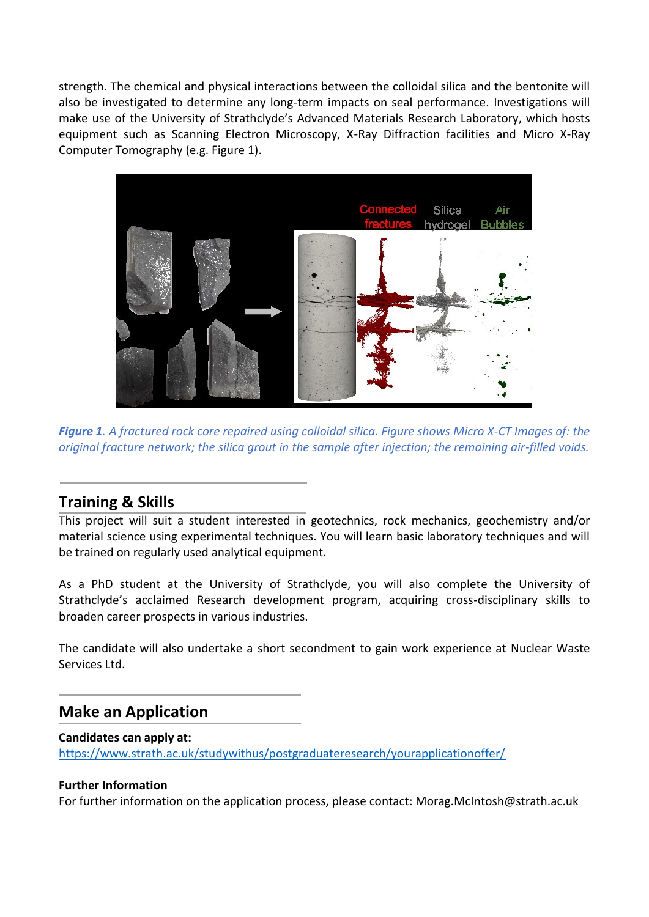strength. The chemical and physical interactions between the colloidal silica and the bentonite will also be investigated to determine any long-term impacts on seal performance. Investigations will make use of the University of Strathclyde's Advanced Materials Research Laboratory, which hosts equipment such as Scanning Electron Microscopy, X-Ray Diffraction facilities and Micro X-Ray Computer Tomography (e.g. Figure 1).



*Figure 1. A fractured rock core repaired using colloidal silica. Figure shows Micro X-CT Images of: the original fracture network; the silica grout in the sample after injection; the remaining air-filled voids.*

### **Training & Skills**

This project will suit a student interested in geotechnics, rock mechanics, geochemistry and/or material science using experimental techniques. You will learn basic laboratory techniques and will be trained on regularly used analytical equipment.

As a PhD student at the University of Strathclyde, you will also complete the University of Strathclyde's acclaimed Research development program, acquiring cross-disciplinary skills to broaden career prospects in various industries.

The candidate will also undertake a short secondment to gain work experience at Nuclear Waste Services Ltd.

### **Make an Application**

#### **Candidates can apply at:**

<https://www.strath.ac.uk/studywithus/postgraduateresearch/yourapplicationoffer/>

#### **Further Information**

For further information on the application process, please contact: Morag.McIntosh@strath.ac.uk